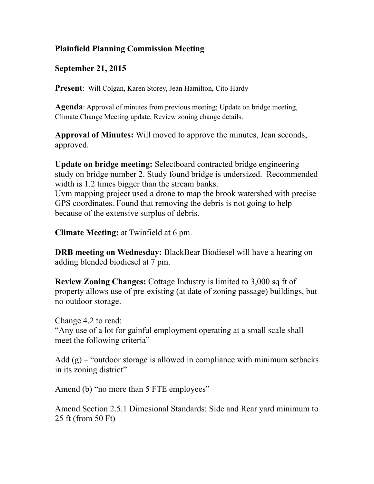## **Plainfield Planning Commission Meeting**

## **September 21, 2015**

**Present**: Will Colgan, Karen Storey, Jean Hamilton, Cito Hardy

**Agenda**: Approval of minutes from previous meeting; Update on bridge meeting, Climate Change Meeting update, Review zoning change details.

**Approval of Minutes:** Will moved to approve the minutes, Jean seconds, approved.

**Update on bridge meeting:** Selectboard contracted bridge engineering study on bridge number 2. Study found bridge is undersized. Recommended width is 1.2 times bigger than the stream banks. Uvm mapping project used a drone to map the brook watershed with precise GPS coordinates. Found that removing the debris is not going to help because of the extensive surplus of debris.

**Climate Meeting:** at Twinfield at 6 pm.

**DRB meeting on Wednesday:** BlackBear Biodiesel will have a hearing on adding blended biodiesel at 7 pm.

**Review Zoning Changes:** Cottage Industry is limited to 3,000 sq ft of property allows use of pre-existing (at date of zoning passage) buildings, but no outdoor storage.

Change 4.2 to read: "Any use of a lot for gainful employment operating at a small scale shall meet the following criteria"

Add  $(g)$  – "outdoor storage is allowed in compliance with minimum setbacks in its zoning district"

Amend (b) "no more than 5 FTE employees"

Amend Section 2.5.1 Dimesional Standards: Side and Rear yard minimum to 25 ft (from 50 Ft)